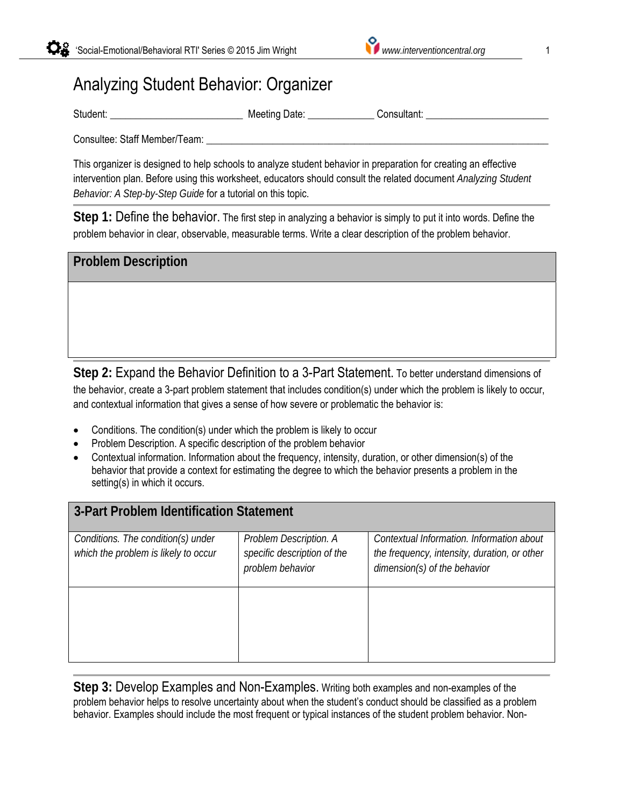## Analyzing Student Behavior: Organizer

Student: \_\_\_\_\_\_\_\_\_\_\_\_\_\_\_\_\_\_\_\_\_\_\_\_\_\_ Meeting Date: \_\_\_\_\_\_\_\_\_\_\_\_\_ Consultant: \_\_\_\_\_\_\_\_\_\_\_\_\_\_\_\_\_\_\_\_\_\_\_\_

Consultee: Staff Member/Team:

This organizer is designed to help schools to analyze student behavior in preparation for creating an effective intervention plan. Before using this worksheet, educators should consult the related document *Analyzing Student Behavior: A Step-by-Step Guide* for a tutorial on this topic.

**Step 1:** Define the behavior. The first step in analyzing a behavior is simply to put it into words. Define the problem behavior in clear, observable, measurable terms. Write a clear description of the problem behavior.

| <b>Problem Description</b> |  |  |
|----------------------------|--|--|
|                            |  |  |
|                            |  |  |
|                            |  |  |

**Step 2:** Expand the Behavior Definition to a 3-Part Statement. To better understand dimensions of the behavior, create a 3-part problem statement that includes condition(s) under which the problem is likely to occur, and contextual information that gives a sense of how severe or problematic the behavior is:

- Conditions. The condition(s) under which the problem is likely to occur
- Problem Description. A specific description of the problem behavior
- Contextual information. Information about the frequency, intensity, duration, or other dimension(s) of the behavior that provide a context for estimating the degree to which the behavior presents a problem in the setting(s) in which it occurs.

| 3-Part Problem Identification Statement                                    |                                                                           |                                                                                                                           |  |  |  |
|----------------------------------------------------------------------------|---------------------------------------------------------------------------|---------------------------------------------------------------------------------------------------------------------------|--|--|--|
| Conditions. The condition(s) under<br>which the problem is likely to occur | Problem Description. A<br>specific description of the<br>problem behavior | Contextual Information. Information about<br>the frequency, intensity, duration, or other<br>dimension(s) of the behavior |  |  |  |
|                                                                            |                                                                           |                                                                                                                           |  |  |  |

**Step 3:** Develop Examples and Non-Examples. Writing both examples and non-examples of the problem behavior helps to resolve uncertainty about when the student's conduct should be classified as a problem behavior. Examples should include the most frequent or typical instances of the student problem behavior. Non-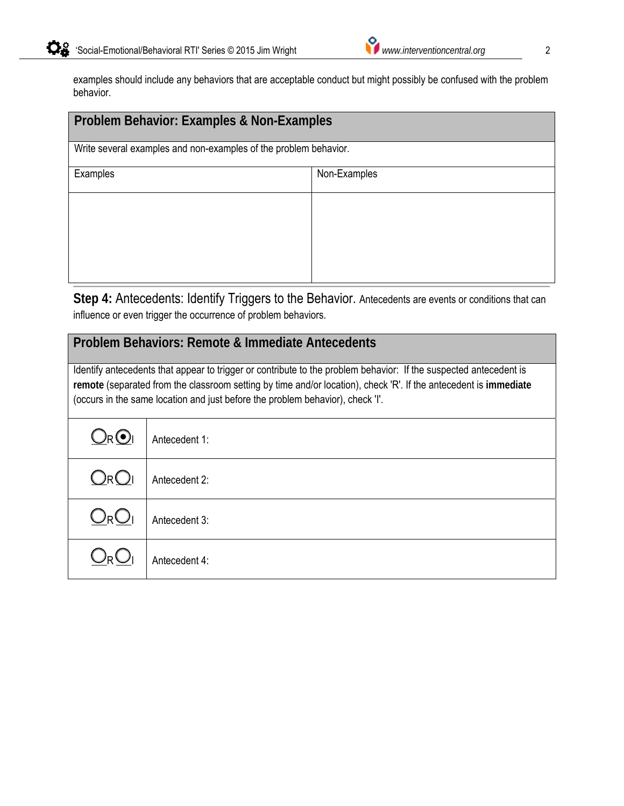| Problem Behavior: Examples & Non-Examples                        |              |  |  |
|------------------------------------------------------------------|--------------|--|--|
| Write several examples and non-examples of the problem behavior. |              |  |  |
| Examples                                                         | Non-Examples |  |  |
|                                                                  |              |  |  |
|                                                                  |              |  |  |
|                                                                  |              |  |  |
|                                                                  |              |  |  |

**Step 4:** Antecedents: Identify Triggers to the Behavior. Antecedents are events or conditions that can influence or even trigger the occurrence of problem behaviors.

## **Problem Behaviors: Remote & Immediate Antecedents**

Identify antecedents that appear to trigger or contribute to the problem behavior: If the suspected antecedent is **remote** (separated from the classroom setting by time and/or location), check 'R'. If the antecedent is **immediate** (occurs in the same location and just before the problem behavior), check 'I'.

| $Q_RQ_I$ | Antecedent 1: |
|----------|---------------|
| $Q_RQ_I$ | Antecedent 2: |
| $Q_RQ_I$ | Antecedent 3: |
| $Q_{R}$  | Antecedent 4: |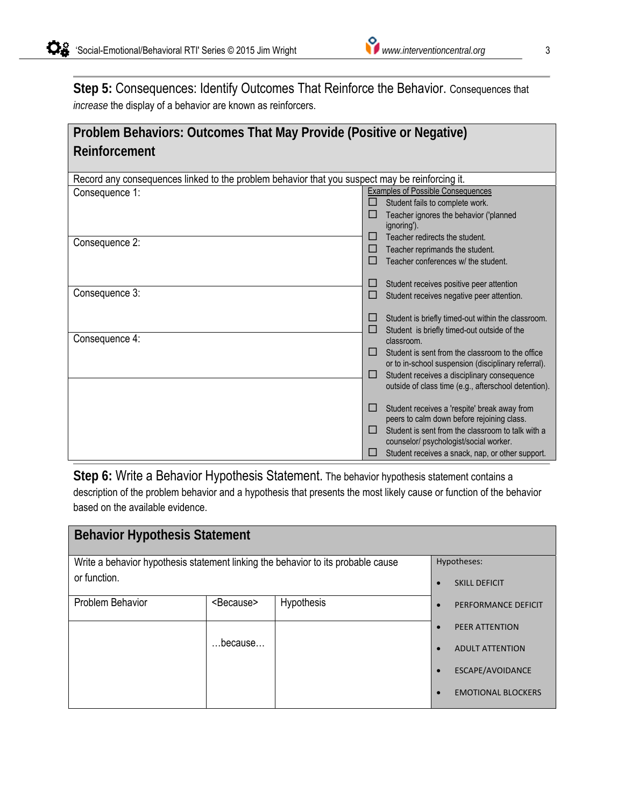**Step 5:** Consequences: Identify Outcomes That Reinforce the Behavior. Consequences that *increase* the display of a behavior are known as reinforcers.

| Problem Behaviors: Outcomes That May Provide (Positive or Negative) |  |
|---------------------------------------------------------------------|--|
| Reinforcement                                                       |  |

| Record any consequences linked to the problem behavior that you suspect may be reinforcing it. |                                          |                                                                                            |
|------------------------------------------------------------------------------------------------|------------------------------------------|--------------------------------------------------------------------------------------------|
| Consequence 1:                                                                                 | <b>Examples of Possible Consequences</b> |                                                                                            |
|                                                                                                | $\blacksquare$                           | Student fails to complete work.                                                            |
|                                                                                                |                                          | Teacher ignores the behavior ('planned<br>ignoring').                                      |
|                                                                                                | ப                                        | Teacher redirects the student.                                                             |
| Consequence 2:                                                                                 | ப                                        | Teacher reprimands the student.                                                            |
|                                                                                                | П                                        | Teacher conferences w/ the student.                                                        |
|                                                                                                |                                          |                                                                                            |
|                                                                                                | ப                                        | Student receives positive peer attention                                                   |
| Consequence 3:                                                                                 | ப                                        | Student receives negative peer attention.                                                  |
|                                                                                                |                                          |                                                                                            |
|                                                                                                |                                          | Student is briefly timed-out within the classroom.                                         |
| Consequence 4:                                                                                 | ш                                        | Student is briefly timed-out outside of the<br>classroom.                                  |
|                                                                                                | п                                        | Student is sent from the classroom to the office                                           |
|                                                                                                |                                          | or to in-school suspension (disciplinary referral).                                        |
|                                                                                                | ப                                        | Student receives a disciplinary consequence                                                |
|                                                                                                |                                          | outside of class time (e.g., afterschool detention).                                       |
|                                                                                                |                                          |                                                                                            |
|                                                                                                | ப                                        | Student receives a 'respite' break away from<br>peers to calm down before rejoining class. |
|                                                                                                | П                                        | Student is sent from the classroom to talk with a                                          |
|                                                                                                |                                          | counselor/psychologist/social worker.                                                      |
|                                                                                                |                                          | Student receives a snack, nap, or other support.                                           |

**Step 6:** Write a Behavior Hypothesis Statement. The behavior hypothesis statement contains a description of the problem behavior and a hypothesis that presents the most likely cause or function of the behavior based on the available evidence.

| <b>Behavior Hypothesis Statement</b>                                             |                     |            |             |                           |
|----------------------------------------------------------------------------------|---------------------|------------|-------------|---------------------------|
| Write a behavior hypothesis statement linking the behavior to its probable cause |                     |            | Hypotheses: |                           |
| or function.                                                                     |                     |            |             | <b>SKILL DEFICIT</b>      |
| Problem Behavior                                                                 | <because></because> | Hypothesis |             | PERFORMANCE DEFICIT       |
|                                                                                  |                     |            |             | PEER ATTENTION            |
|                                                                                  | $$ because $$       |            |             | <b>ADULT ATTENTION</b>    |
|                                                                                  |                     |            |             | ESCAPE/AVOIDANCE          |
|                                                                                  |                     |            |             | <b>EMOTIONAL BLOCKERS</b> |